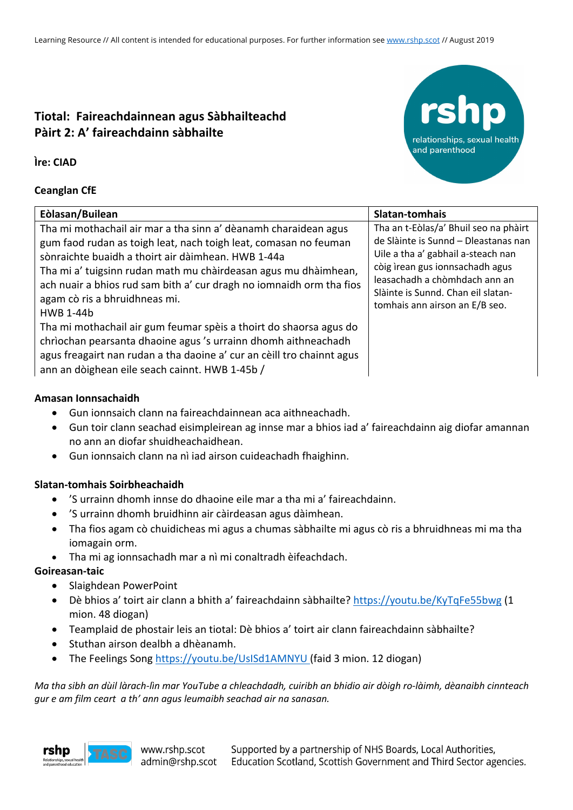# **Tiotal: Faireachdainnean agus Sàbhailteachd Pàirt 2: A' faireachdainn sàbhailte**

**Ìre: CIAD**

## **Ceanglan CfE**

| Eòlasan/Builean                                                                                                                                                                                                                                                                                                                                                                           | Slatan-tomhais                                                                                                                                                                                                                                                  |
|-------------------------------------------------------------------------------------------------------------------------------------------------------------------------------------------------------------------------------------------------------------------------------------------------------------------------------------------------------------------------------------------|-----------------------------------------------------------------------------------------------------------------------------------------------------------------------------------------------------------------------------------------------------------------|
| Tha mi mothachail air mar a tha sinn a' dèanamh charaidean agus<br>gum faod rudan as toigh leat, nach toigh leat, comasan no feuman<br>sònraichte buaidh a thoirt air dàimhean. HWB 1-44a<br>Tha mi a' tuigsinn rudan math mu chàirdeasan agus mu dhàimhean,<br>ach nuair a bhios rud sam bith a' cur dragh no iomnaidh orm tha fios<br>agam cò ris a bhruidhneas mi.<br><b>HWB 1-44b</b> | Tha an t-Eòlas/a' Bhuil seo na phàirt<br>de Slàinte is Sunnd - Dleastanas nan<br>Uile a tha a' gabhail a-steach nan<br>còig ìrean gus ionnsachadh agus<br>leasachadh a chòmhdach ann an<br>Slàinte is Sunnd. Chan eil slatan-<br>tomhais ann airson an E/B seo. |
| Tha mi mothachail air gum feumar spèis a thoirt do shaorsa agus do<br>chrìochan pearsanta dhaoine agus 's urrainn dhomh aithneachadh<br>agus freagairt nan rudan a tha daoine a' cur an cèill tro chainnt agus<br>ann an dòighean eile seach cainnt. HWB 1-45b /                                                                                                                          |                                                                                                                                                                                                                                                                 |

relationships, sexual health

and parenthood

## **Amasan Ionnsachaidh**

- Gun ionnsaich clann na faireachdainnean aca aithneachadh.
- Gun toir clann seachad eisimpleirean ag innse mar a bhios iad a' faireachdainn aig diofar amannan no ann an diofar shuidheachaidhean.
- Gun ionnsaich clann na nì iad airson cuideachadh fhaighinn.

# **Slatan-tomhais Soirbheachaidh**

- 'S urrainn dhomh innse do dhaoine eile mar a tha mi a' faireachdainn.
- 'S urrainn dhomh bruidhinn air càirdeasan agus dàimhean.
- Tha fios agam cò chuidicheas mi agus a chumas sàbhailte mi agus cò ris a bhruidhneas mi ma tha iomagain orm.
- Tha mi ag ionnsachadh mar a nì mi conaltradh èifeachdach.

# **Goireasan-taic**

- Slaighdean PowerPoint
- Dè bhios a' toirt air clann a bhith a' faireachdainn sàbhailte? https://youtu.be/KyTqFe55bwg (1 mion. 48 diogan)
- Teamplaid de phostair leis an tiotal: Dè bhios a' toirt air clann faireachdainn sàbhailte?
- Stuthan airson dealbh a dhèanamh.
- The Feelings Song https://youtu.be/UsISd1AMNYU (faid 3 mion. 12 diogan)

*Ma tha sibh an dùil làrach-lìn mar YouTube a chleachdadh, cuiribh an bhidio air dòigh ro-làimh, dèanaibh cinnteach gur e am film ceart a th' ann agus leumaibh seachad air na sanasan.*

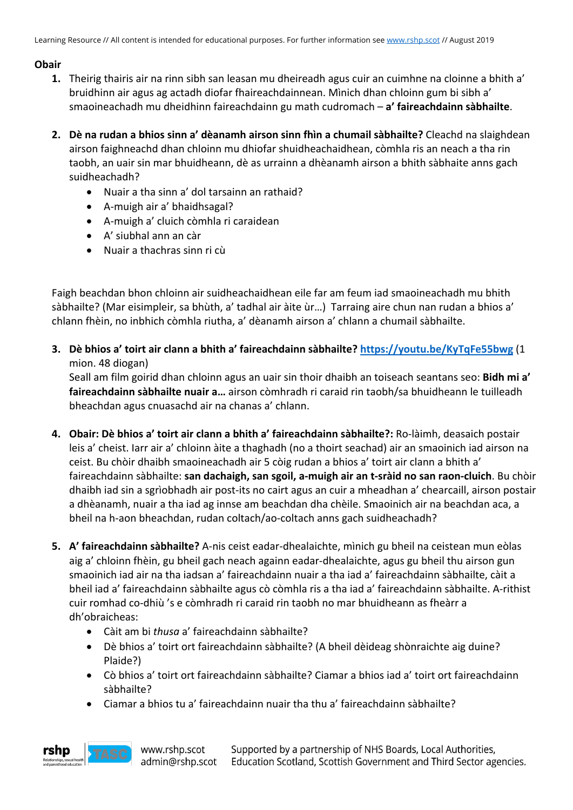# **Obair**

- **1.** Theirig thairis air na rinn sibh san leasan mu dheireadh agus cuir an cuimhne na cloinne a bhith a' bruidhinn air agus ag actadh diofar fhaireachdainnean. Mìnich dhan chloinn gum bi sibh a' smaoineachadh mu dheidhinn faireachdainn gu math cudromach – **a' faireachdainn sàbhailte**.
- **2. Dè na rudan a bhios sinn a' dèanamh airson sinn fhìn a chumail sàbhailte?** Cleachd na slaighdean airson faighneachd dhan chloinn mu dhiofar shuidheachaidhean, còmhla ris an neach a tha rin taobh, an uair sin mar bhuidheann, dè as urrainn a dhèanamh airson a bhith sàbhaite anns gach suidheachadh?
	- Nuair a tha sinn a' dol tarsainn an rathaid?
	- A-muigh air a' bhaidhsagal?
	- A-muigh a' cluich còmhla ri caraidean
	- A' siubhal ann an càr
	- Nuair a thachras sinn ri cù

Faigh beachdan bhon chloinn air suidheachaidhean eile far am feum iad smaoineachadh mu bhith sàbhailte? (Mar eisimpleir, sa bhùth, a' tadhal air àite ùr…) Tarraing aire chun nan rudan a bhios a' chlann fhèin, no inbhich còmhla riutha, a' dèanamh airson a' chlann a chumail sàbhailte.

**3. Dè bhios a' toirt air clann a bhith a' faireachdainn sàbhailte? https://youtu.be/KyTqFe55bwg** (1 mion. 48 diogan)

Seall am film goirid dhan chloinn agus an uair sin thoir dhaibh an toiseach seantans seo: **Bidh mi a' faireachdainn sàbhailte nuair a…** airson còmhradh ri caraid rin taobh/sa bhuidheann le tuilleadh bheachdan agus cnuasachd air na chanas a' chlann.

- **4. Obair: Dè bhios a' toirt air clann a bhith a' faireachdainn sàbhailte?:** Ro-làimh, deasaich postair leis a' cheist. Iarr air a' chloinn àite a thaghadh (no a thoirt seachad) air an smaoinich iad airson na ceist. Bu chòir dhaibh smaoineachadh air 5 còig rudan a bhios a' toirt air clann a bhith a' faireachdainn sàbhailte: **san dachaigh, san sgoil, a-muigh air an t-sràid no san raon-cluich**. Bu chòir dhaibh iad sin a sgrìobhadh air post-its no cairt agus an cuir a mheadhan a' chearcaill, airson postair a dhèanamh, nuair a tha iad ag innse am beachdan dha chèile. Smaoinich air na beachdan aca, a bheil na h-aon bheachdan, rudan coltach/ao-coltach anns gach suidheachadh?
- **5. A' faireachdainn sàbhailte?** A-nis ceist eadar-dhealaichte, mìnich gu bheil na ceistean mun eòlas aig a' chloinn fhèin, gu bheil gach neach againn eadar-dhealaichte, agus gu bheil thu airson gun smaoinich iad air na tha iadsan a' faireachdainn nuair a tha iad a' faireachdainn sàbhailte, càit a bheil iad a' faireachdainn sàbhailte agus cò còmhla ris a tha iad a' faireachdainn sàbhailte. A-rithist cuir romhad co-dhiù 's e còmhradh ri caraid rin taobh no mar bhuidheann as fheàrr a dh'obraicheas:
	- Càit am bi *thusa* a' faireachdainn sàbhailte?
	- Dè bhios a' toirt ort faireachdainn sàbhailte? (A bheil dèideag shònraichte aig duine? Plaide?)
	- Cò bhios a' toirt ort faireachdainn sàbhailte? Ciamar a bhios iad a' toirt ort faireachdainn sàbhailte?
	- Ciamar a bhios tu a' faireachdainn nuair tha thu a' faireachdainn sàbhailte?



www.rshp.scot admin@rshp.scot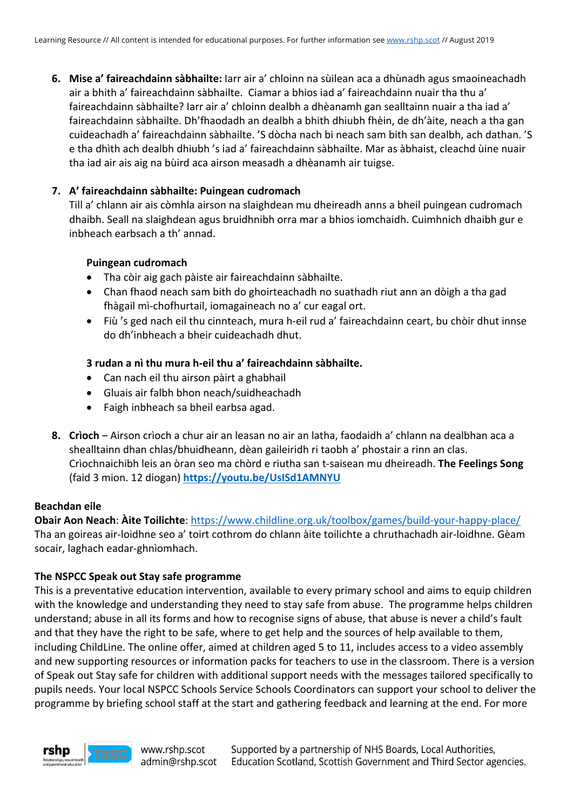**6. Mise a' faireachdainn sàbhailte:** Iarr air a' chloinn na sùilean aca a dhùnadh agus smaoineachadh air a bhith a' faireachdainn sàbhailte. Ciamar a bhios iad a' faireachdainn nuair tha thu a' faireachdainn sàbhailte? Iarr air a' chloinn dealbh a dhèanamh gan sealltainn nuair a tha iad a' faireachdainn sàbhailte. Dh'fhaodadh an dealbh a bhith dhiubh fhèin, de dh'àite, neach a tha gan cuideachadh a' faireachdainn sàbhailte. 'S dòcha nach bi neach sam bith san dealbh, ach dathan. 'S e tha dhìth ach dealbh dhiubh 's iad a' faireachdainn sàbhailte. Mar as àbhaist, cleachd ùine nuair tha iad air ais aig na bùird aca airson measadh a dhèanamh air tuigse.

#### **7. A' faireachdainn sàbhailte: Puingean cudromach**

Till a' chlann air ais còmhla airson na slaighdean mu dheireadh anns a bheil puingean cudromach dhaibh. Seall na slaighdean agus bruidhnibh orra mar a bhios iomchaidh. Cuimhnich dhaibh gur e inbheach earbsach a th' annad.

#### **Puingean cudromach**

- Tha còir aig gach pàiste air faireachdainn sàbhailte.
- Chan fhaod neach sam bith do ghoirteachadh no suathadh riut ann an dòigh a tha gad fhàgail mì-chofhurtail, iomagaineach no a' cur eagal ort.
- Fiù 's ged nach eil thu cinnteach, mura h-eil rud a' faireachdainn ceart, bu chòir dhut innse do dh'inbheach a bheir cuideachadh dhut.

## **3 rudan a nì thu mura h-eil thu a' faireachdainn sàbhailte.**

- Can nach eil thu airson pàirt a ghabhail
- Gluais air falbh bhon neach/suidheachadh
- Faigh inbheach sa bheil earbsa agad.
- **8. Crìoch** Airson crìoch a chur air an leasan no air an latha, faodaidh a' chlann na dealbhan aca a shealltainn dhan chlas/bhuidheann, dèan gaileiridh ri taobh a' phostair a rinn an clas. Crìochnaichibh leis an òran seo ma chòrd e riutha san t-saisean mu dheireadh. **The Feelings Song** (faid 3 mion. 12 diogan) **https://youtu.be/UsISd1AMNYU**

#### **Beachdan eile**

**Obair Aon Neach**: **Àite Toilichte**: https://www.childline.org.uk/toolbox/games/build-your-happy-place/ Tha an goireas air-loidhne seo a' toirt cothrom do chlann àite toilichte a chruthachadh air-loidhne. Gèam socair, laghach eadar-ghnìomhach.

#### **The NSPCC Speak out Stay safe programme**

This is a preventative education intervention, available to every primary school and aims to equip children with the knowledge and understanding they need to stay safe from abuse. The programme helps children understand; abuse in all its forms and how to recognise signs of abuse, that abuse is never a child's fault and that they have the right to be safe, where to get help and the sources of help available to them, including ChildLine. The online offer, aimed at children aged 5 to 11, includes access to a video assembly and new supporting resources or information packs for teachers to use in the classroom. There is a version of Speak out Stay safe for children with additional support needs with the messages tailored specifically to pupils needs. Your local NSPCC Schools Service Schools Coordinators can support your school to deliver the programme by briefing school staff at the start and gathering feedback and learning at the end. For more